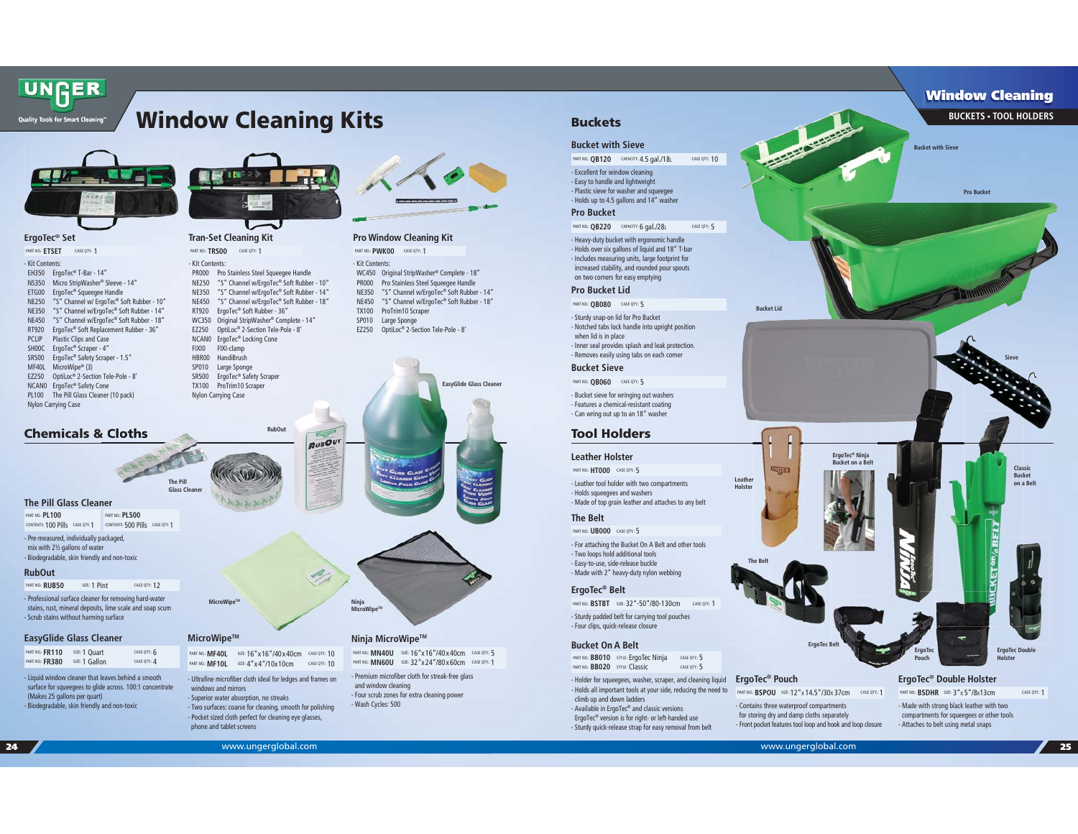# **Window Cleaning Kits**



**ErgoTec® Set** 

| PART NO.: ETSET            | CASE OTY: 1                               |
|----------------------------|-------------------------------------------|
| - Kit Contents:            |                                           |
| <b>FH350</b>               | ErgoTec® T-Bar - 14"                      |
| <b>NS350</b>               | Micro StripWasher® Sleeve - 14"           |
| ETG00                      | ErgoTec® Squeeqee Handle                  |
| <b>NE250</b>               | "S" Channel w/ ErgoTec® Soft Rubber - 10" |
| <b>NE350</b>               | "S" Channel w/ErgoTec® Soft Rubber - 14"  |
| <b>NF450</b>               | "S" Channel w/ErgoTec® Soft Rubber - 18"  |
| RT920                      | ErgoTec® Soft Replacement Rubber - 36"    |
| <b>PCLIP</b>               | Plastic Clips and Case                    |
| SHOOC                      | ErgoTec® Scraper - 4"                     |
| SR500                      | ErgoTec® Safety Scraper - 1.5"            |
| <b>MF40L</b>               | MicroWipe® (3)                            |
| F7250                      | OptiLoc® 2-Section Tele-Pole - 8'         |
| NCAN <sub>0</sub>          | ErgoTec <sup>®</sup> Safety Cone          |
| PL100                      | The Pill Glass Cleaner (10 pack)          |
| <b>Nylon Carrying Case</b> |                                           |

**Chemicals & Cloths**

**EasyGlide Glass Cleaner** 

**The Pill Glass Cleaner**

PART NO.: **PL100** 

**RubOut**

PART NO.: RUR50

- Pre-measured, individually packaged, mix with 2½ gallons of water - Biodegradable, skin friendly and non-toxic

CONTENTS: 100 Pills CASE QTY: 1CONTENTS: 500 Pills CASE QTY: 1PART NO.: **PL500** 

(Makes 25 gallons per quart) - Biodegradable, skin friendly and non-toxic

- Liquid window cleaner that leaves behind a smooth surface for squeegees to glide across. 100:1 concentrate

PART NO.: **FR110** SIZE: 1 Quart CASE QTY.: 6 PART NO.: **FR380** SIZE: 1 Gallon CASE QTY.: 4

- Professional surface cleaner for removing hard-water stains, rust, mineral deposits, lime scale and soap scum - Scrub stains without harming surface

**SIZE: 1 Pint** CASE QTY.: 12



**Tran-Set Cleaning Kit** 

- Kit Contents:PART NO.: TRS00 CASE QTY: 1

**MicroWipeTM**

 $MicroWine<sup>T</sup>$ 

**The Pill Glass Cleaner**

> windows and mirrors - Superior water absorption, no streaks - Two surfaces: coarse for cleaning, smooth for polishing - Pocket sized cloth perfect for cleaning eye glasses,

phone and tablet screens

- Ultrafine microfiber cloth ideal for ledges and frames on

PART NO.: **MF40L** SIZE: 16"x16"/40x40cm CASE QTY.: 10PART NO.: **MF10L** SIZE: 4"x4"/10x10cm CASE QTY.: 10

 PR000 Pro Stainless Steel Squeegee Handle NE250 "S" Channel w/ErgoTec® Soft Rubber - 10" NE350 "S" Channel w/ErgoTec® Soft Rubber - 14" NE450 "S" Channel w/ErgoTec® Soft Rubber - 18" RT920 ErgoTec® Soft Rubber - 36" WC350 Original StripWasher® Complete - 14" EZ250 OptiLoc® 2-Section Tele-Pole - 8' NCAN0 ErgoTec® Locking Cone FIXI0 FIXI-clamp<br>HBR00 HandiBrush HandiBrush SP010 Large Sponge SR500 ErgoTec® Safety Scraper TX100 ProTrim10 Scraper Nylon Carrying Case

**RubOut**



# **Pro Window Cleaning Kit**

PART NO.: **PWK00** CASE QTY.: 1

#### - Kit Contents:

 WC450 Original StripWasher® Complete - 18" PR000 Pro Stainless Steel Squeegee Handle NE350 "S" Channel w/ErgoTec® Soft Rubber - 14" NE450 "S" Channel w/ErgoTec® Soft Rubber - 18" TX100 ProTrim10 Scraper SP010 Large Sponge EZ250 OptiLoc® 2-Section Tele-Pole - 8'





#### **Ninja MicroWipeTM**

PART NO.: **MN40U** SIZE: 16"x16"/40x40cm CASE QTY.: 5PART NO.: **MN60U** SIZE: 32"x24"/80x60cm CASE QTY.: 1

- Premium microfiber cloth for streak-free glass and window cleaning - Four scrub zones for extra cleaning power Wash Cycles: 500

# **Buckets**

#### **Bucket with Sieve**

PART NO.: **QB120** CAPACITY: 4.5 gal./18L CASE QTY.: 10

- Excellent for window cleaning - Easy to handle and lightweight - Plastic sieve for washer and squeegee - Holds up to 4.5 gallons and 14" washer

#### **Pro Bucket**

PART NO.: **QB220** CAPACITY: 6 gal./28L CASE QTY.: 5

- Heavy-duty bucket with ergonomic handle - Holds over six gallons of liquid and 18" T-bar - Includes measuring units, large footprint for increased stability, and rounded pour spouts on two corners for easy emptying

## **Pro Bucket Lid**

PART NO.: **QB080** CASE QTY.: 5

- Sturdy snap-on lid for Pro Bucket - Notched tabs lock handle into upright position when lid is in place - Inner seal provides splash and leak protection. - Removes easily using tabs on each corner

#### **Bucket Sieve**

- Bucket sieve for wringing out washers - Features a chemical-resistant coating - Can wring out up to an 18" washer PART NO.: **QB060** CASE QTY.: 5

# **Tool Holders**

#### **Leather Holster**

PART NO.: **HT000** CASE QTY.: 5

- Leather tool holder with two compartments - Holds squeegees and washers - Made of top grain leather and attaches to any belt

## **The Belt**

- For attaching the Bucket On A Belt and other tools PART NO.: **UB000** CASE QTY.: 5

- Two loops hold additional tools - Easy-to-use, side-release buckle - Made with 2" heavy-duty nylon webbing

#### **ErgoTec® Belt**

PART NO.: **BSTBT** SIZE: 32"-50"/80-130cm CASE QTY.: 1

- Sturdy padded belt for carrying tool pouches - Four clips, quick-release closure

#### **Bucket On A Belt**

PART NO.: **BB010** STYLE: ErgoTec Ninja CASE QTY.: 5 PART NO.: **BB020** STYLE: Classic CASE QTY.: 5

- Holder for squeegees, washer, scraper, and cleaning liquid - Holds all important tools at your side, reducing the need to climb up and down ladders

- Available in ErgoTec® and classic versions ErgoTec® version is for right- or left-handed use - Sturdy quick-release strap for easy removal from belt



**Bucket Lid**

**Bucket with Sieve**

**Pro Bucket**

 **Window Cleaning BUCKETS TOOL HOLDERS**

**Classic Bucket on a Belt**

**Sieve**



**ErgoTec Double Holster**

## **ErgoTec® Double Holster T ® D bl H l t**

**ErgoTe Pouch**

PART NO.: **BSDHR** SIZE: 3"X 5"/8X13cm CASE QTY.: 1

- Made with strong black leather with two compartments for squeegees or other tools - Attaches to belt using metal snaps

PART NO.: **BSPOU** SIZE: 12"X 14.5"/30X 37cm CASE QTY.: 1

**ErgoTec Belt**

**ErgoTec® Ninja Bucket on a Be** 

- Contains three waterproof compartments for storing dry and damp cloths separately

**ErgoTec® Pouch** 

**The Belt**

**Leather rHolster**

**Legan**